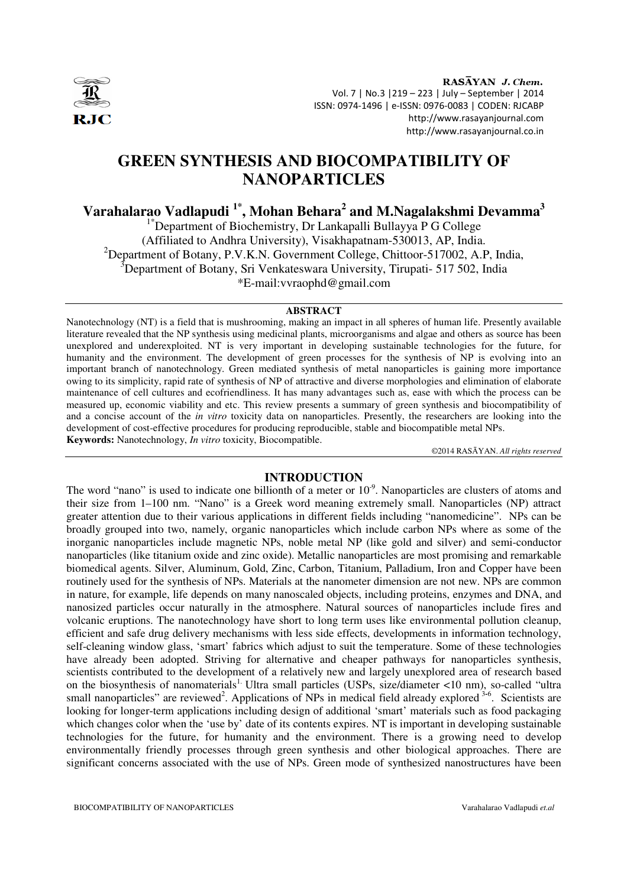

RASAYAN J. Chem. Vol. 7 | No.3 |219 – 223 | July – September | 2014 ISSN: 0974-1496 | e-ISSN: 0976-0083 | CODEN: RJCABP http://www.rasayanjournal.com http://www.rasayanjournal.co.in

# **GREEN SYNTHESIS AND BIOCOMPATIBILITY OF NANOPARTICLES**

**Varahalarao Vadlapudi 1\*, Mohan Behara<sup>2</sup> and M.Nagalakshmi Devamma<sup>3</sup>**

<sup>1\*</sup>Department of Biochemistry, Dr Lankapalli Bullayya P G College (Affiliated to Andhra University), Visakhapatnam-530013, AP, India. <sup>2</sup>Department of Botany, P.V.K.N. Government College, Chittoor-517002, A.P, India,  $3$ Department of Botany, Sri Venkateswara University, Tirupati- 517 502, India \*E-mail:vvraophd@gmail.com

#### **ABSTRACT**

Nanotechnology (NT) is a field that is mushrooming, making an impact in all spheres of human life. Presently available literature revealed that the NP synthesis using medicinal plants, microorganisms and algae and others as source has been unexplored and underexploited. NT is very important in developing sustainable technologies for the future, for humanity and the environment. The development of green processes for the synthesis of NP is evolving into an important branch of nanotechnology. Green mediated synthesis of metal nanoparticles is gaining more importance owing to its simplicity, rapid rate of synthesis of NP of attractive and diverse morphologies and elimination of elaborate maintenance of cell cultures and ecofriendliness. It has many advantages such as, ease with which the process can be measured up, economic viability and etc. This review presents a summary of green synthesis and biocompatibility of and a concise account of the *in vitro* toxicity data on nanoparticles. Presently, the researchers are looking into the development of cost-effective procedures for producing reproducible, stable and biocompatible metal NPs. **Keywords:** Nanotechnology, *In vitro* toxicity, Biocompatible.

©2014 RASĀYAN. *All rights reserved*

# **INTRODUCTION**

The word "nano" is used to indicate one billionth of a meter or  $10<sup>-9</sup>$ . Nanoparticles are clusters of atoms and their size from 1–100 nm. "Nano" is a Greek word meaning extremely small. Nanoparticles (NP) attract greater attention due to their various applications in different fields including "nanomedicine". NPs can be broadly grouped into two, namely, organic nanoparticles which include carbon NPs where as some of the inorganic nanoparticles include magnetic NPs, noble metal NP (like gold and silver) and semi-conductor nanoparticles (like titanium oxide and zinc oxide). Metallic nanoparticles are most promising and remarkable biomedical agents. Silver, Aluminum, Gold, Zinc, Carbon, Titanium, Palladium, Iron and Copper have been routinely used for the synthesis of NPs. Materials at the nanometer dimension are not new. NPs are common in nature, for example, life depends on many nanoscaled objects, including proteins, enzymes and DNA, and nanosized particles occur naturally in the atmosphere. Natural sources of nanoparticles include fires and volcanic eruptions. The nanotechnology have short to long term uses like environmental pollution cleanup, efficient and safe drug delivery mechanisms with less side effects, developments in information technology, self-cleaning window glass, 'smart' fabrics which adjust to suit the temperature. Some of these technologies have already been adopted. Striving for alternative and cheaper pathways for nanoparticles synthesis, scientists contributed to the development of a relatively new and largely unexplored area of research based on the biosynthesis of nanomaterials<sup>1.</sup> Ultra small particles (USPs, size/diameter <10 nm), so-called "ultra small nanoparticles" are reviewed<sup>2</sup>. Applications of NPs in medical field already explored <sup>3-6</sup>. Scientists are looking for longer-term applications including design of additional 'smart' materials such as food packaging which changes color when the 'use by' date of its contents expires. NT is important in developing sustainable technologies for the future, for humanity and the environment. There is a growing need to develop environmentally friendly processes through green synthesis and other biological approaches. There are significant concerns associated with the use of NPs. Green mode of synthesized nanostructures have been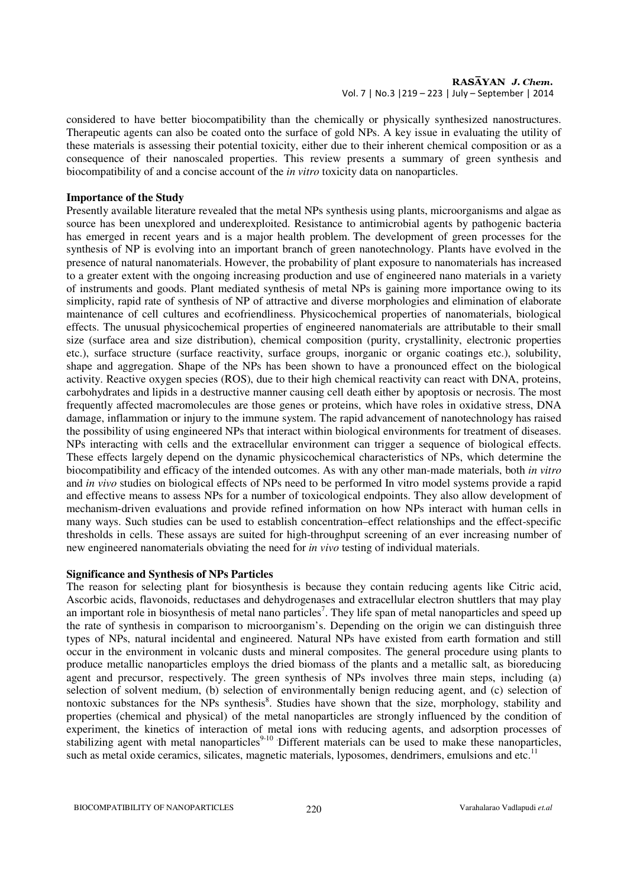considered to have better biocompatibility than the chemically or physically synthesized nanostructures. Therapeutic agents can also be coated onto the surface of gold NPs. A key issue in evaluating the utility of these materials is assessing their potential toxicity, either due to their inherent chemical composition or as a consequence of their nanoscaled properties. This review presents a summary of green synthesis and biocompatibility of and a concise account of the *in vitro* toxicity data on nanoparticles.

#### **Importance of the Study**

Presently available literature revealed that the metal NPs synthesis using plants, microorganisms and algae as source has been unexplored and underexploited. Resistance to antimicrobial agents by pathogenic bacteria has emerged in recent years and is a major health problem. The development of green processes for the synthesis of NP is evolving into an important branch of green nanotechnology. Plants have evolved in the presence of natural nanomaterials. However, the probability of plant exposure to nanomaterials has increased to a greater extent with the ongoing increasing production and use of engineered nano materials in a variety of instruments and goods. Plant mediated synthesis of metal NPs is gaining more importance owing to its simplicity, rapid rate of synthesis of NP of attractive and diverse morphologies and elimination of elaborate maintenance of cell cultures and ecofriendliness. Physicochemical properties of nanomaterials, biological effects. The unusual physicochemical properties of engineered nanomaterials are attributable to their small size (surface area and size distribution), chemical composition (purity, crystallinity, electronic properties etc.), surface structure (surface reactivity, surface groups, inorganic or organic coatings etc.), solubility, shape and aggregation. Shape of the NPs has been shown to have a pronounced effect on the biological activity. Reactive oxygen species (ROS), due to their high chemical reactivity can react with DNA, proteins, carbohydrates and lipids in a destructive manner causing cell death either by apoptosis or necrosis. The most frequently affected macromolecules are those genes or proteins, which have roles in oxidative stress, DNA damage, inflammation or injury to the immune system. The rapid advancement of nanotechnology has raised the possibility of using engineered NPs that interact within biological environments for treatment of diseases. NPs interacting with cells and the extracellular environment can trigger a sequence of biological effects. These effects largely depend on the dynamic physicochemical characteristics of NPs, which determine the biocompatibility and efficacy of the intended outcomes. As with any other man-made materials, both *in vitro* and *in vivo* studies on biological effects of NPs need to be performed In vitro model systems provide a rapid and effective means to assess NPs for a number of toxicological endpoints. They also allow development of mechanism-driven evaluations and provide refined information on how NPs interact with human cells in many ways. Such studies can be used to establish concentration–effect relationships and the effect-specific thresholds in cells. These assays are suited for high-throughput screening of an ever increasing number of new engineered nanomaterials obviating the need for *in vivo* testing of individual materials.

## **Significance and Synthesis of NPs Particles**

The reason for selecting plant for biosynthesis is because they contain reducing agents like Citric acid, Ascorbic acids, flavonoids, reductases and dehydrogenases and extracellular electron shuttlers that may play an important role in biosynthesis of metal nano particles<sup>7</sup>. They life span of metal nanoparticles and speed up the rate of synthesis in comparison to microorganism's. Depending on the origin we can distinguish three types of NPs, natural incidental and engineered. Natural NPs have existed from earth formation and still occur in the environment in volcanic dusts and mineral composites. The general procedure using plants to produce metallic nanoparticles employs the dried biomass of the plants and a metallic salt, as bioreducing agent and precursor, respectively. The green synthesis of NPs involves three main steps, including (a) selection of solvent medium, (b) selection of environmentally benign reducing agent, and (c) selection of nontoxic substances for the NPs synthesis<sup>8</sup>. Studies have shown that the size, morphology, stability and properties (chemical and physical) of the metal nanoparticles are strongly influenced by the condition of experiment, the kinetics of interaction of metal ions with reducing agents, and adsorption processes of stabilizing agent with metal nanoparticles<sup>9-10</sup> Different materials can be used to make these nanoparticles, such as metal oxide ceramics, silicates, magnetic materials, lyposomes, dendrimers, emulsions and etc.<sup>1</sup>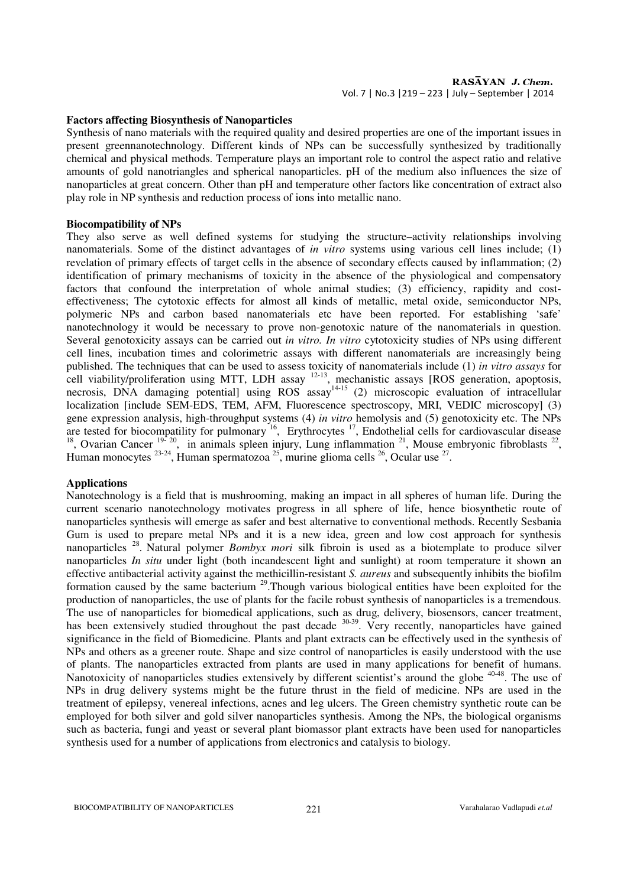#### **Factors affecting Biosynthesis of Nanoparticles**

Synthesis of nano materials with the required quality and desired properties are one of the important issues in present greennanotechnology. Different kinds of NPs can be successfully synthesized by traditionally chemical and physical methods. Temperature plays an important role to control the aspect ratio and relative amounts of gold nanotriangles and spherical nanoparticles. pH of the medium also influences the size of nanoparticles at great concern. Other than pH and temperature other factors like concentration of extract also play role in NP synthesis and reduction process of ions into metallic nano.

#### **Biocompatibility of NPs**

They also serve as well defined systems for studying the structure–activity relationships involving nanomaterials. Some of the distinct advantages of *in vitro* systems using various cell lines include; (1) revelation of primary effects of target cells in the absence of secondary effects caused by inflammation; (2) identification of primary mechanisms of toxicity in the absence of the physiological and compensatory factors that confound the interpretation of whole animal studies; (3) efficiency, rapidity and costeffectiveness; The cytotoxic effects for almost all kinds of metallic, metal oxide, semiconductor NPs, polymeric NPs and carbon based nanomaterials etc have been reported. For establishing 'safe' nanotechnology it would be necessary to prove non-genotoxic nature of the nanomaterials in question. Several genotoxicity assays can be carried out *in vitro. In vitro* cytotoxicity studies of NPs using different cell lines, incubation times and colorimetric assays with different nanomaterials are increasingly being published. The techniques that can be used to assess toxicity of nanomaterials include (1) *in vitro assays* for cell viability/proliferation using MTT, LDH assay <sup>12</sup>**-**<sup>13</sup>, mechanistic assays [ROS generation, apoptosis, necrosis, DNA damaging potential] using ROS assay<sup>14-15</sup> (2) microscopic evaluation of intracellular localization [include SEM-EDS, TEM, AFM, Fluorescence spectroscopy, MRI, VEDIC microscopy] (3) gene expression analysis, high-throughput systems (4) *in vitro* hemolysis and (5) genotoxicity etc. The NPs are tested for biocompatility for pulmonary  $^{16}$ , Erythrocytes  $^{17}$ , Endothelial cells for cardiovascular disease <sup>18</sup>, Ovarian Cancer  $19-20$ , in animals spleen injury, Lung inflammation  $21$ , Mouse embryonic fibroblasts  $22$ , Human monocytes <sup>23-24</sup>, Human spermatozoa <sup>25</sup>, murine glioma cells <sup>26</sup>, Ocular use <sup>27</sup>.

## **Applications**

Nanotechnology is a field that is mushrooming, making an impact in all spheres of human life. During the current scenario nanotechnology motivates progress in all sphere of life, hence biosynthetic route of nanoparticles synthesis will emerge as safer and best alternative to conventional methods. Recently Sesbania Gum is used to prepare metal NPs and it is a new idea, green and low cost approach for synthesis nanoparticles <sup>28</sup> . Natural polymer *Bombyx mori* silk fibroin is used as a biotemplate to produce silver nanoparticles *In situ* under light (both incandescent light and sunlight) at room temperature it shown an effective antibacterial activity against the methicillin-resistant *S. aureus* and subsequently inhibits the biofilm formation caused by the same bacterium <sup>29</sup>.Though various biological entities have been exploited for the production of nanoparticles, the use of plants for the facile robust synthesis of nanoparticles is a tremendous. The use of nanoparticles for biomedical applications, such as drug, delivery, biosensors, cancer treatment, has been extensively studied throughout the past decade <sup>30-39</sup>. Very recently, nanoparticles have gained significance in the field of Biomedicine. Plants and plant extracts can be effectively used in the synthesis of NPs and others as a greener route. Shape and size control of nanoparticles is easily understood with the use of plants. The nanoparticles extracted from plants are used in many applications for benefit of humans. Nanotoxicity of nanoparticles studies extensively by different scientist's around the globe <sup>40-48</sup>. The use of NPs in drug delivery systems might be the future thrust in the field of medicine. NPs are used in the treatment of epilepsy, venereal infections, acnes and leg ulcers. The Green chemistry synthetic route can be employed for both silver and gold silver nanoparticles synthesis. Among the NPs, the biological organisms such as bacteria, fungi and yeast or several plant biomassor plant extracts have been used for nanoparticles synthesis used for a number of applications from electronics and catalysis to biology.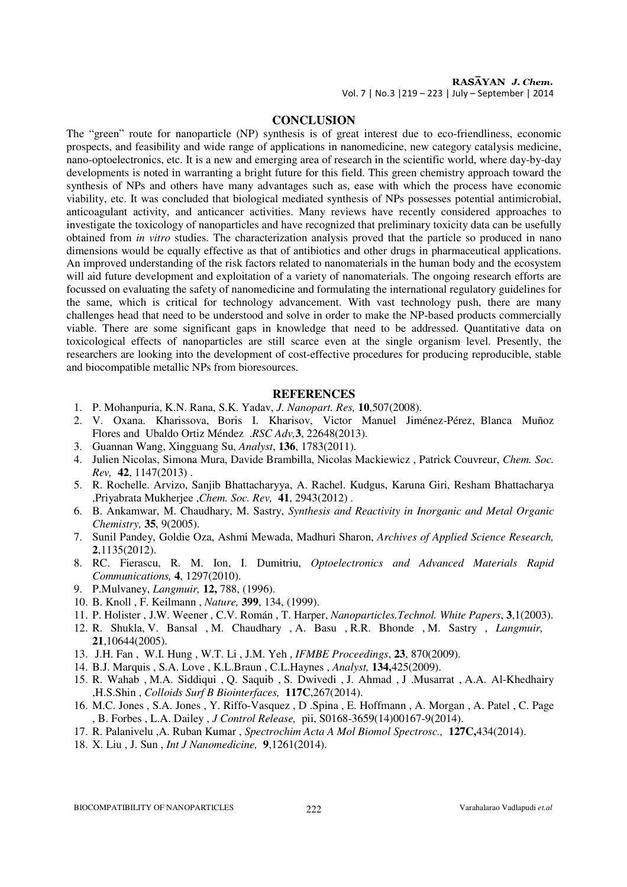RASAYAN J. Chem. Vol. 7 | No.3 |219 – 223 | July – September | 2014

# **CONCLUSION**

The "green" route for nanoparticle (NP) synthesis is of great interest due to eco-friendliness, economic prospects, and feasibility and wide range of applications in nanomedicine, new category catalysis medicine, nano-optoelectronics, etc. It is a new and emerging area of research in the scientific world, where day-by-day developments is noted in warranting a bright future for this field. This green chemistry approach toward the synthesis of NPs and others have many advantages such as, ease with which the process have economic viability, etc. It was concluded that biological mediated synthesis of NPs possesses potential antimicrobial, anticoagulant activity, and anticancer activities. Many reviews have recently considered approaches to investigate the toxicology of nanoparticles and have recognized that preliminary toxicity data can be usefully obtained from *in vitro* studies. The characterization analysis proved that the particle so produced in nano dimensions would be equally effective as that of antibiotics and other drugs in pharmaceutical applications. An improved understanding of the risk factors related to nanomaterials in the human body and the ecosystem will aid future development and exploitation of a variety of nanomaterials. The ongoing research efforts are focussed on evaluating the safety of nanomedicine and formulating the international regulatory guidelines for the same, which is critical for technology advancement. With vast technology push, there are many challenges head that need to be understood and solve in order to make the NP-based products commercially viable. There are some significant gaps in knowledge that need to be addressed. Quantitative data on toxicological effects of nanoparticles are still scarce even at the single organism level. Presently, the researchers are looking into the development of cost-effective procedures for producing reproducible, stable and biocompatible metallic NPs from bioresources.

#### **REFERENCES**

- 1. P. Mohanpuria, K.N. Rana, S.K. Yadav, *J. Nanopart. Res,* **10**,507(2008).
- 2. V. Oxana. Kharissova, Boris I. Kharisov, Victor Manuel Jiménez-Pérez, Blanca Muñoz Flores and Ubaldo Ortiz Méndez .*RSC Adv,***3**, 22648(2013).
- 3. Guannan Wang, Xingguang Su, *Analyst*, **136**, 1783(2011).
- 4. Julien Nicolas, Simona Mura, Davide Brambilla, Nicolas Mackiewicz , Patrick Couvreur, *Chem. Soc. Rev,* **42**, 1147(2013) .
- 5. R. Rochelle. Arvizo, Sanjib Bhattacharyya, A. Rachel. Kudgus, Karuna Giri, Resham Bhattacharya ,Priyabrata Mukherjee ,*Chem. Soc. Rev,* **41**, 2943(2012) .
- 6. B. Ankamwar, M. Chaudhary, M. Sastry, *Synthesis and Reactivity in Inorganic and Metal Organic Chemistry,* **35**, 9(2005).
- 7. Sunil Pandey, Goldie Oza, Ashmi Mewada, Madhuri Sharon, *Archives of Applied Science Research,* **2**,1135(2012).
- 8. RC. Fierascu, R. M. Ion, I. Dumitriu, *Optoelectronics and Advanced Materials Rapid Communications,* **4**, 1297(2010).
- 9. P.Mulvaney, *Langmuir,* **12,** 788, (1996).
- 10. B. Knoll , F. Keilmann , *Nature,* **399**, 134, (1999).
- 11. P. Holister , J.W. Weener , C.V. Román , T. Harper, *Nanoparticles.Technol. White Papers*, **3**,1(2003).
- 12. R. Shukla, V. Bansal , M. Chaudhary , A. Basu , R.R. Bhonde , M. Sastry , *Langmuir,* **21**,10644(2005).
- 13. J.H. Fan , W.I. Hung , W.T. Li , J.M. Yeh , *IFMBE Proceedings*, **23**, 870(2009).
- 14. B.J. Marquis , S.A. Love , K.L.Braun , C.L.Haynes , *Analyst,* **134,**425(2009).
- 15. R. Wahab , M.A. Siddiqui , Q. Saquib , S. Dwivedi , J. Ahmad , J .Musarrat , A.A. Al-Khedhairy ,H.S.Shin , *Colloids Surf B Biointerfaces,* **117C**,267(2014).
- 16. M.C. Jones , S.A. Jones , Y. Riffo-Vasquez , D .Spina , E. Hoffmann , A. Morgan , A. Patel , C. Page , B. Forbes , L.A. Dailey , *J Control Release,* pii, S0168-3659(14)00167-9(2014).
- 17. R. Palanivelu ,A. Ruban Kumar , *Spectrochim Acta A Mol Biomol Spectrosc.,* **127C,**434(2014).
- 18. X. Liu , J. Sun , *Int J Nanomedicine,* **9**,1261(2014).